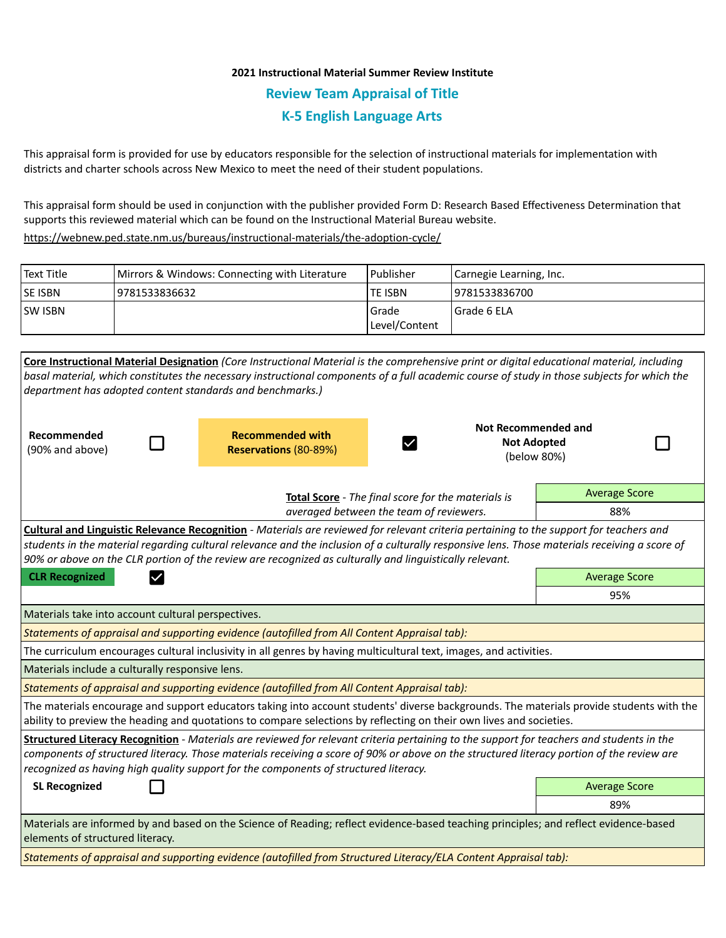## **2021 Instructional Material Summer Review Institute Review Team Appraisal of Title K-5 English Language Arts**

This appraisal form is provided for use by educators responsible for the selection of instructional materials for implementation with districts and charter schools across New Mexico to meet the need of their student populations.

This appraisal form should be used in conjunction with the publisher provided Form D: Research Based Effectiveness Determination that supports this reviewed material which can be found on the Instructional Material Bureau website.

<https://webnew.ped.state.nm.us/bureaus/instructional-materials/the-adoption-cycle/>

| Text Title     | Mirrors & Windows: Connecting with Literature | l Publisher   | Carnegie Learning, Inc. |
|----------------|-----------------------------------------------|---------------|-------------------------|
| <b>SE ISBN</b> | 9781533836632                                 | lte ISBN      | 19781533836700          |
| <b>SW ISBN</b> |                                               | l Grade       | l Grade 6 ELA           |
|                |                                               | Level/Content |                         |

|                                                                                                                    |                                                                            |                                                                                              | Core Instructional Material Designation (Core Instructional Material is the comprehensive print or digital educational material, including                                                                                                                      |                      |  |  |
|--------------------------------------------------------------------------------------------------------------------|----------------------------------------------------------------------------|----------------------------------------------------------------------------------------------|-----------------------------------------------------------------------------------------------------------------------------------------------------------------------------------------------------------------------------------------------------------------|----------------------|--|--|
|                                                                                                                    |                                                                            |                                                                                              | basal material, which constitutes the necessary instructional components of a full academic course of study in those subjects for which the                                                                                                                     |                      |  |  |
| department has adopted content standards and benchmarks.)                                                          |                                                                            |                                                                                              |                                                                                                                                                                                                                                                                 |                      |  |  |
|                                                                                                                    |                                                                            |                                                                                              |                                                                                                                                                                                                                                                                 |                      |  |  |
| Recommended                                                                                                        |                                                                            | <b>Recommended with</b>                                                                      | <b>Not Recommended and</b><br><b>Not Adopted</b>                                                                                                                                                                                                                |                      |  |  |
| (90% and above)                                                                                                    |                                                                            | <b>Reservations (80-89%)</b>                                                                 | (below 80%)                                                                                                                                                                                                                                                     |                      |  |  |
|                                                                                                                    |                                                                            |                                                                                              |                                                                                                                                                                                                                                                                 |                      |  |  |
|                                                                                                                    | <b>Average Score</b><br>Total Score - The final score for the materials is |                                                                                              |                                                                                                                                                                                                                                                                 |                      |  |  |
|                                                                                                                    | averaged between the team of reviewers.                                    |                                                                                              |                                                                                                                                                                                                                                                                 |                      |  |  |
|                                                                                                                    |                                                                            |                                                                                              | <b>Cultural and Linguistic Relevance Recognition</b> - Materials are reviewed for relevant criteria pertaining to the support for teachers and                                                                                                                  |                      |  |  |
|                                                                                                                    |                                                                            |                                                                                              | students in the material regarding cultural relevance and the inclusion of a culturally responsive lens. Those materials receiving a score of                                                                                                                   |                      |  |  |
| 90% or above on the CLR portion of the review are recognized as culturally and linguistically relevant.            |                                                                            |                                                                                              |                                                                                                                                                                                                                                                                 |                      |  |  |
| <b>CLR Recognized</b><br>$\checkmark$                                                                              | <b>Average Score</b>                                                       |                                                                                              |                                                                                                                                                                                                                                                                 |                      |  |  |
|                                                                                                                    |                                                                            |                                                                                              |                                                                                                                                                                                                                                                                 | 95%                  |  |  |
| Materials take into account cultural perspectives.                                                                 |                                                                            |                                                                                              |                                                                                                                                                                                                                                                                 |                      |  |  |
| Statements of appraisal and supporting evidence (autofilled from All Content Appraisal tab):                       |                                                                            |                                                                                              |                                                                                                                                                                                                                                                                 |                      |  |  |
| The curriculum encourages cultural inclusivity in all genres by having multicultural text, images, and activities. |                                                                            |                                                                                              |                                                                                                                                                                                                                                                                 |                      |  |  |
| Materials include a culturally responsive lens.                                                                    |                                                                            |                                                                                              |                                                                                                                                                                                                                                                                 |                      |  |  |
|                                                                                                                    |                                                                            | Statements of appraisal and supporting evidence (autofilled from All Content Appraisal tab): |                                                                                                                                                                                                                                                                 |                      |  |  |
|                                                                                                                    |                                                                            |                                                                                              | The materials encourage and support educators taking into account students' diverse backgrounds. The materials provide students with the<br>ability to preview the heading and quotations to compare selections by reflecting on their own lives and societies. |                      |  |  |
|                                                                                                                    |                                                                            |                                                                                              | Structured Literacy Recognition - Materials are reviewed for relevant criteria pertaining to the support for teachers and students in the                                                                                                                       |                      |  |  |
|                                                                                                                    |                                                                            |                                                                                              | components of structured literacy. Those materials receiving a score of 90% or above on the structured literacy portion of the review are                                                                                                                       |                      |  |  |
|                                                                                                                    |                                                                            | recognized as having high quality support for the components of structured literacy.         |                                                                                                                                                                                                                                                                 |                      |  |  |
| <b>SL Recognized</b>                                                                                               |                                                                            |                                                                                              |                                                                                                                                                                                                                                                                 | <b>Average Score</b> |  |  |
|                                                                                                                    |                                                                            |                                                                                              |                                                                                                                                                                                                                                                                 | 89%                  |  |  |
| elements of structured literacy.                                                                                   |                                                                            |                                                                                              | Materials are informed by and based on the Science of Reading; reflect evidence-based teaching principles; and reflect evidence-based                                                                                                                           |                      |  |  |
|                                                                                                                    |                                                                            |                                                                                              | Statements of appraisal and supporting evidence (autofilled from Structured Literacy/ELA Content Appraisal tab):                                                                                                                                                |                      |  |  |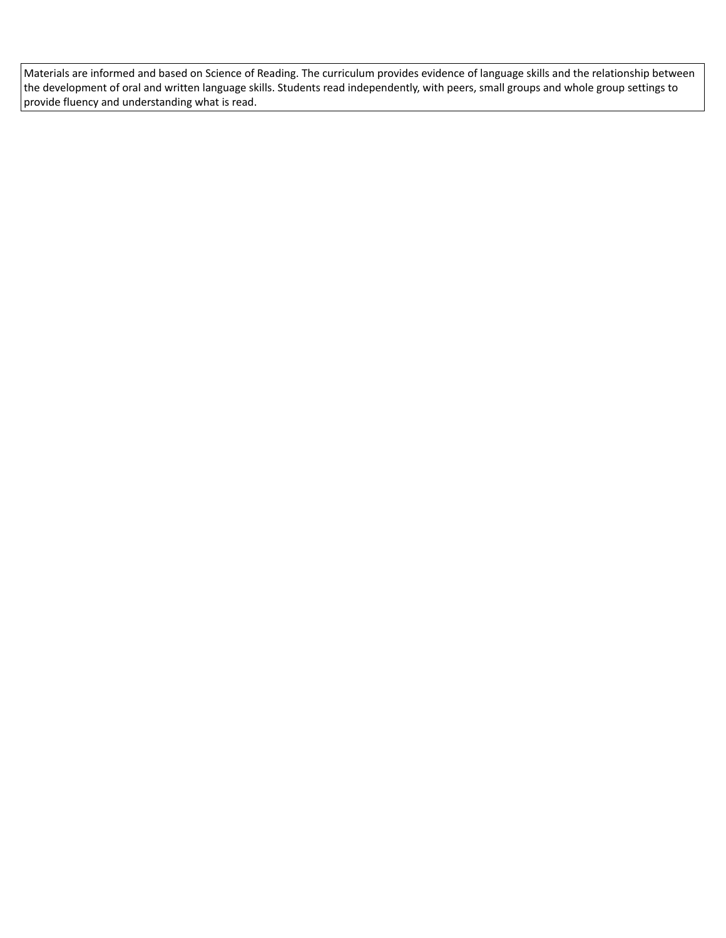Materials are informed and based on Science of Reading. The curriculum provides evidence of language skills and the relationship between the development of oral and written language skills. Students read independently, with peers, small groups and whole group settings to provide fluency and understanding what is read.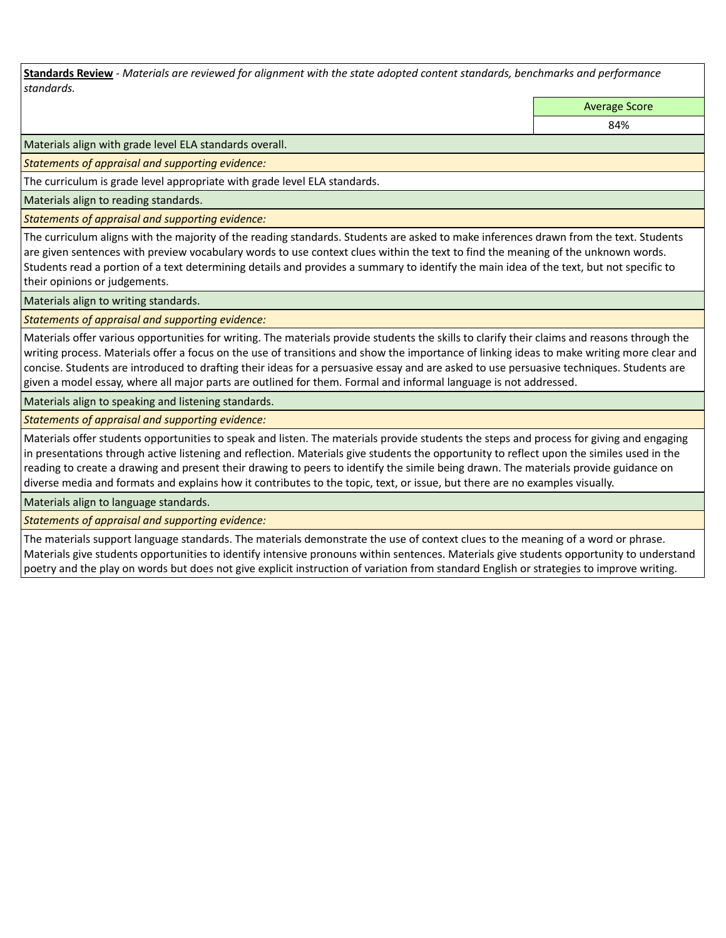**Standards Review** *- Materials are reviewed for alignment with the state adopted content standards, benchmarks and performance standards.*

Average Score

84%

Materials align with grade level ELA standards overall.

*Statements of appraisal and supporting evidence:* 

The curriculum is grade level appropriate with grade level ELA standards.

Materials align to reading standards.

*Statements of appraisal and supporting evidence:* 

The curriculum aligns with the majority of the reading standards. Students are asked to make inferences drawn from the text. Students are given sentences with preview vocabulary words to use context clues within the text to find the meaning of the unknown words. Students read a portion of a text determining details and provides a summary to identify the main idea of the text, but not specific to their opinions or judgements.

Materials align to writing standards.

*Statements of appraisal and supporting evidence:* 

Materials offer various opportunities for writing. The materials provide students the skills to clarify their claims and reasons through the writing process. Materials offer a focus on the use of transitions and show the importance of linking ideas to make writing more clear and concise. Students are introduced to drafting their ideas for a persuasive essay and are asked to use persuasive techniques. Students are given a model essay, where all major parts are outlined for them. Formal and informal language is not addressed.

Materials align to speaking and listening standards.

*Statements of appraisal and supporting evidence:* 

Materials offer students opportunities to speak and listen. The materials provide students the steps and process for giving and engaging in presentations through active listening and reflection. Materials give students the opportunity to reflect upon the similes used in the reading to create a drawing and present their drawing to peers to identify the simile being drawn. The materials provide guidance on diverse media and formats and explains how it contributes to the topic, text, or issue, but there are no examples visually.

Materials align to language standards.

*Statements of appraisal and supporting evidence:* 

The materials support language standards. The materials demonstrate the use of context clues to the meaning of a word or phrase. Materials give students opportunities to identify intensive pronouns within sentences. Materials give students opportunity to understand poetry and the play on words but does not give explicit instruction of variation from standard English or strategies to improve writing.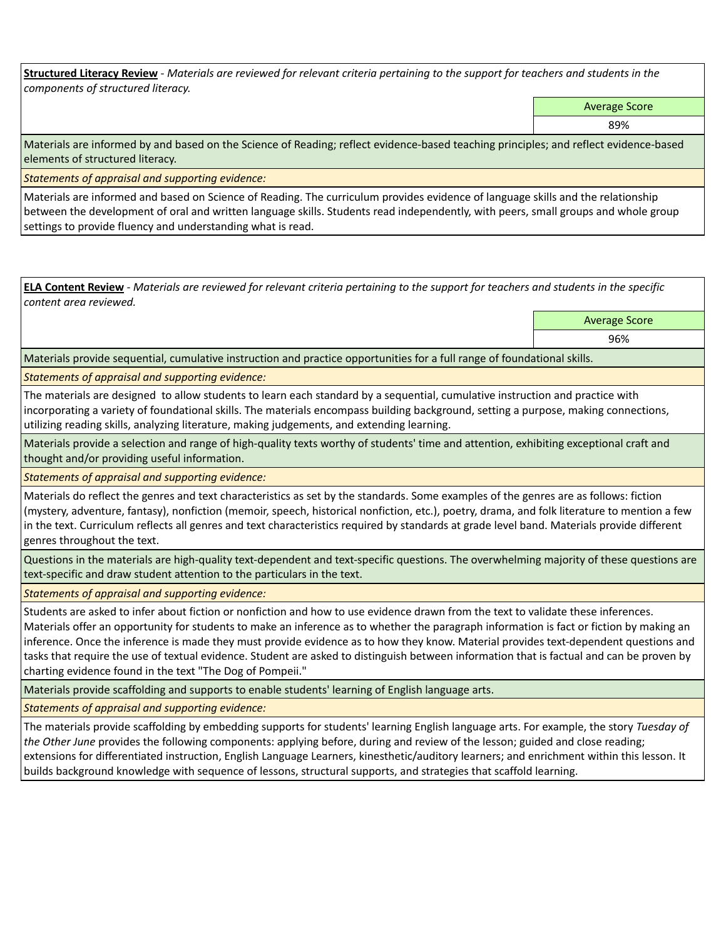**Structured Literacy Review** *- Materials are reviewed for relevant criteria pertaining to the support for teachers and students in the components of structured literacy.*

Average Score

89%

Materials are informed by and based on the Science of Reading; reflect evidence-based teaching principles; and reflect evidence-based elements of structured literacy.

*Statements of appraisal and supporting evidence:*

Materials are informed and based on Science of Reading. The curriculum provides evidence of language skills and the relationship between the development of oral and written language skills. Students read independently, with peers, small groups and whole group settings to provide fluency and understanding what is read.

**ELA Content Review** *- Materials are reviewed for relevant criteria pertaining to the support for teachers and students in the specific content area reviewed.*

Average Score

96%

Materials provide sequential, cumulative instruction and practice opportunities for a full range of foundational skills.

*Statements of appraisal and supporting evidence:* 

The materials are designed to allow students to learn each standard by a sequential, cumulative instruction and practice with incorporating a variety of foundational skills. The materials encompass building background, setting a purpose, making connections, utilizing reading skills, analyzing literature, making judgements, and extending learning.

Materials provide a selection and range of high-quality texts worthy of students' time and attention, exhibiting exceptional craft and thought and/or providing useful information.

*Statements of appraisal and supporting evidence:* 

Materials do reflect the genres and text characteristics as set by the standards. Some examples of the genres are as follows: fiction (mystery, adventure, fantasy), nonfiction (memoir, speech, historical nonfiction, etc.), poetry, drama, and folk literature to mention a few in the text. Curriculum reflects all genres and text characteristics required by standards at grade level band. Materials provide different genres throughout the text.

Questions in the materials are high-quality text-dependent and text-specific questions. The overwhelming majority of these questions are text-specific and draw student attention to the particulars in the text.

*Statements of appraisal and supporting evidence:* 

Students are asked to infer about fiction or nonfiction and how to use evidence drawn from the text to validate these inferences.

Materials offer an opportunity for students to make an inference as to whether the paragraph information is fact or fiction by making an inference. Once the inference is made they must provide evidence as to how they know. Material provides text-dependent questions and tasks that require the use of textual evidence. Student are asked to distinguish between information that is factual and can be proven by charting evidence found in the text "The Dog of Pompeii."

Materials provide scaffolding and supports to enable students' learning of English language arts.

*Statements of appraisal and supporting evidence:* 

The materials provide scaffolding by embedding supports for students' learning English language arts. For example, the story *Tuesday of the Other June* provides the following components: applying before, during and review of the lesson; guided and close reading; extensions for differentiated instruction, English Language Learners, kinesthetic/auditory learners; and enrichment within this lesson. It builds background knowledge with sequence of lessons, structural supports, and strategies that scaffold learning.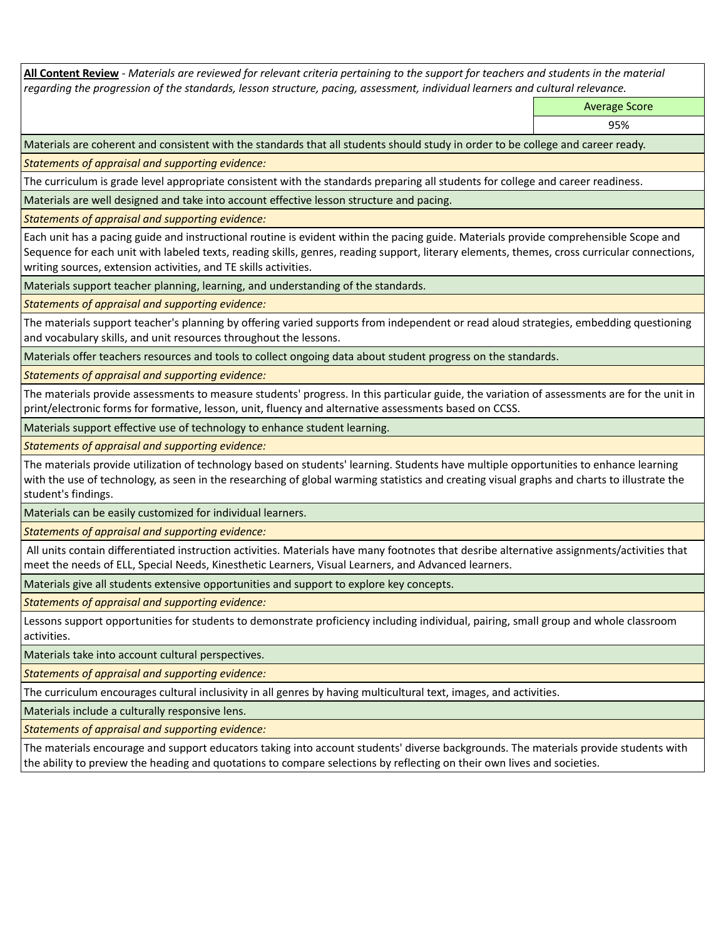**All Content Review** *- Materials are reviewed for relevant criteria pertaining to the support for teachers and students in the material regarding the progression of the standards, lesson structure, pacing, assessment, individual learners and cultural relevance.*

Average Score

95%

Materials are coherent and consistent with the standards that all students should study in order to be college and career ready.

*Statements of appraisal and supporting evidence:*

The curriculum is grade level appropriate consistent with the standards preparing all students for college and career readiness.

Materials are well designed and take into account effective lesson structure and pacing.

*Statements of appraisal and supporting evidence:*

Each unit has a pacing guide and instructional routine is evident within the pacing guide. Materials provide comprehensible Scope and Sequence for each unit with labeled texts, reading skills, genres, reading support, literary elements, themes, cross curricular connections, writing sources, extension activities, and TE skills activities.

Materials support teacher planning, learning, and understanding of the standards.

*Statements of appraisal and supporting evidence:*

The materials support teacher's planning by offering varied supports from independent or read aloud strategies, embedding questioning and vocabulary skills, and unit resources throughout the lessons.

Materials offer teachers resources and tools to collect ongoing data about student progress on the standards.

*Statements of appraisal and supporting evidence:*

The materials provide assessments to measure students' progress. In this particular guide, the variation of assessments are for the unit in print/electronic forms for formative, lesson, unit, fluency and alternative assessments based on CCSS.

Materials support effective use of technology to enhance student learning.

*Statements of appraisal and supporting evidence:*

The materials provide utilization of technology based on students' learning. Students have multiple opportunities to enhance learning with the use of technology, as seen in the researching of global warming statistics and creating visual graphs and charts to illustrate the student's findings.

Materials can be easily customized for individual learners.

*Statements of appraisal and supporting evidence:* 

 All units contain differentiated instruction activities. Materials have many footnotes that desribe alternative assignments/activities that meet the needs of ELL, Special Needs, Kinesthetic Learners, Visual Learners, and Advanced learners.

Materials give all students extensive opportunities and support to explore key concepts.

*Statements of appraisal and supporting evidence:*

Lessons support opportunities for students to demonstrate proficiency including individual, pairing, small group and whole classroom activities.

Materials take into account cultural perspectives.

*Statements of appraisal and supporting evidence:*

The curriculum encourages cultural inclusivity in all genres by having multicultural text, images, and activities.

Materials include a culturally responsive lens.

*Statements of appraisal and supporting evidence:*

The materials encourage and support educators taking into account students' diverse backgrounds. The materials provide students with the ability to preview the heading and quotations to compare selections by reflecting on their own lives and societies.